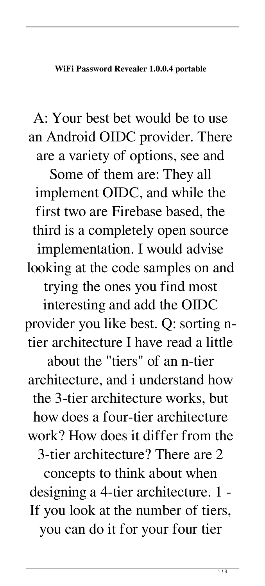A: Your best bet would be to use an Android OIDC provider. There are a variety of options, see and Some of them are: They all implement OIDC, and while the first two are Firebase based, the third is a completely open source implementation. I would advise looking at the code samples on and trying the ones you find most interesting and add the OIDC provider you like best. Q: sorting ntier architecture I have read a little about the "tiers" of an n-tier architecture, and i understand how the 3-tier architecture works, but how does a four-tier architecture work? How does it differ from the 3-tier architecture? There are 2 concepts to think about when designing a 4-tier architecture. 1 - If you look at the number of tiers, you can do it for your four tier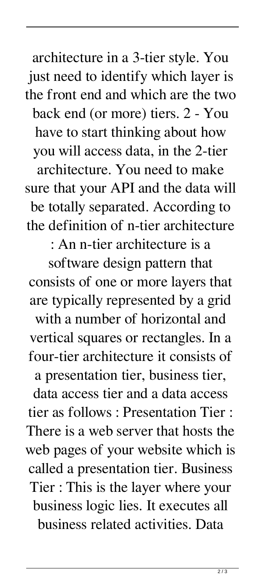architecture in a 3-tier style. You just need to identify which layer is the front end and which are the two back end (or more) tiers. 2 - You have to start thinking about how you will access data, in the 2-tier architecture. You need to make sure that your API and the data will be totally separated. According to the definition of n-tier architecture

: An n-tier architecture is a

software design pattern that consists of one or more layers that are typically represented by a grid with a number of horizontal and vertical squares or rectangles. In a four-tier architecture it consists of a presentation tier, business tier, data access tier and a data access tier as follows : Presentation Tier : There is a web server that hosts the web pages of your website which is called a presentation tier. Business Tier : This is the layer where your business logic lies. It executes all business related activities. Data